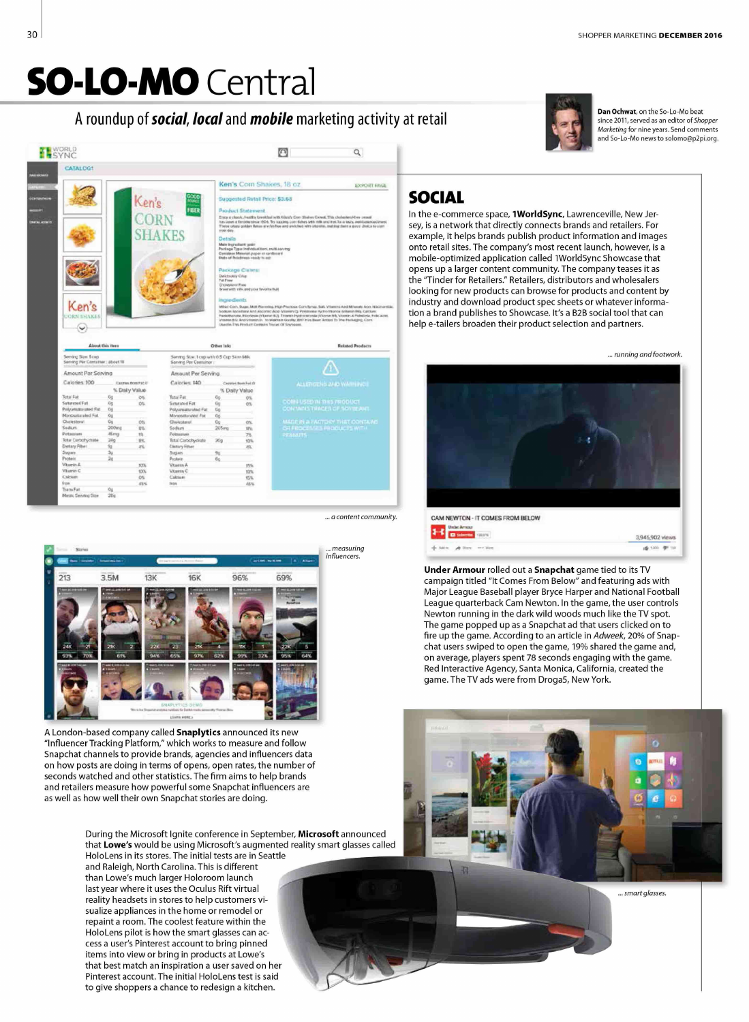# **SO-LO-MO** Central

## A roundup of social, local and mobile marketing activity at retail



抛死锁格

练协议

a content community.



A London-based company called Snaplytics announced its new "Influencer Tracking Platform," which works to measure and follow Snapchat channels to provide brands, agencies and influencers data on how posts are doing in terms of opens, open rates, the number of seconds watched and other statistics. The firm aims to help brands and retailers measure how powerful some Snapchat influencers are as well as how well their own Snapchat stories are doing.

> During the Microsoft Ignite conference in September, Microsoft announced that Lowe's would be using Microsoft's augmented reality smart glasses called

HoloLens in its stores. The initial tests are in Seattle and Raleigh, North Carolina. This is different than Lowe's much larger Holoroom launch last year where it uses the Oculus Rift virtual reality headsets in stores to help customers visualize appliances in the home or remodel or repaint a room. The coolest feature within the HoloLens pilot is how the smart glasses can access a user's Pinterest account to bring pinned items into view or bring in products at Lowe's that best match an inspiration a user saved on her Pinterest account. The initial HoloLens test is said to give shoppers a chance to redesign a kitchen.



Dan Ochwat, on the So-Lo-Mo beat since 2011, served as an editor of Shopper Marketing for nine years. Send comments and So-Lo-Mo news to solomo@p2pi.org.

## **SOCIAL**

In the e-commerce space, 1WorldSync, Lawrenceville, New Jersey, is a network that directly connects brands and retailers. For example, it helps brands publish product information and images onto retail sites. The company's most recent launch, however, is a mobile-optimized application called 1WorldSync Showcase that opens up a larger content community. The company teases it as the "Tinder for Retailers." Retailers, distributors and wholesalers looking for new products can browse for products and content by industry and download product spec sheets or whatever information a brand publishes to Showcase. It's a B2B social tool that can help e-tailers broaden their product selection and partners.



Under Armour rolled out a Snapchat game tied to its TV campaign titled "It Comes From Below" and featuring ads with Major League Baseball player Bryce Harper and National Football League quarterback Cam Newton. In the game, the user controls Newton running in the dark wild woods much like the TV spot. The game popped up as a Snapchat ad that users clicked on to fire up the game. According to an article in Adweek, 20% of Snapchat users swiped to open the game, 19% shared the game and, on average, players spent 78 seconds engaging with the game. Red Interactive Agency, Santa Monica, California, created the game. The TV ads were from Droga5, New York.



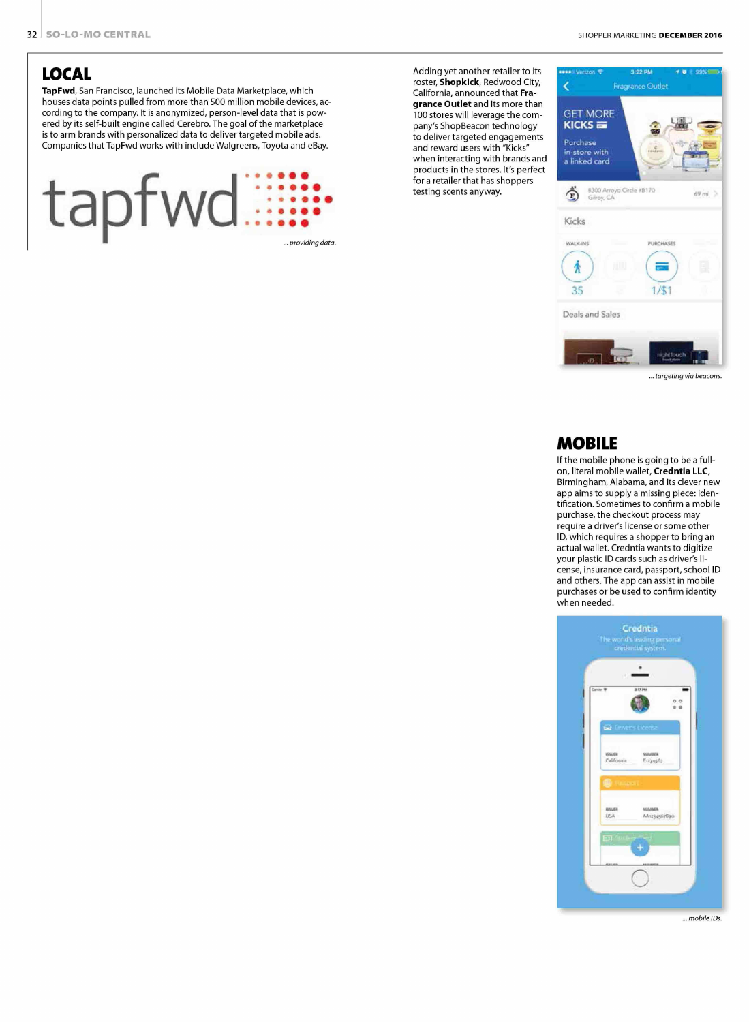### **LOCAL**

TapFwd, San Francisco, launched its Mobile Data Marketplace, which houses data points pulled from more than 500 million mobile devices, according to the company. It is anonymized, person-level data that is powered by its self-built engine called Cerebro.The goal of the marketplace is to arm brands with personalized data to deliver targeted mobile ads. Companies that TapFwd works with include Walgreens, Toyota and eBay.



Adding yet another retailer to its roster, Shopkick, Redwood City, California, announced that Fragrance Outlet and its more than 100 stores will leverage the company's ShopBeacon technology to deliver targeted engagements and reward users with "Kicks" when interacting with brands and products in the stores. It's perfect for a retailer that has shoppers testing scents anyway.  $\overrightarrow{r}$ 



*... targeting via beacons.* 

#### **MOBILE**

If the mobile phone is going to be a fullon, literal mobile wallet, Credntia LLC, Birmingham, Alabama, and its clever new app aims to supply a missing piece: identification. Sometimes to confirm a mobile purchase, the checkout process may require a driver's license or some other ID, which requires a shopper to bring an actual wallet. Credntia wants to digitize your plastic ID cards such as driver's license, insurance card, passport, school ID and others. The app can assist in mobile purchases or be used to confirm identity when needed.



*... mobile IDs.*